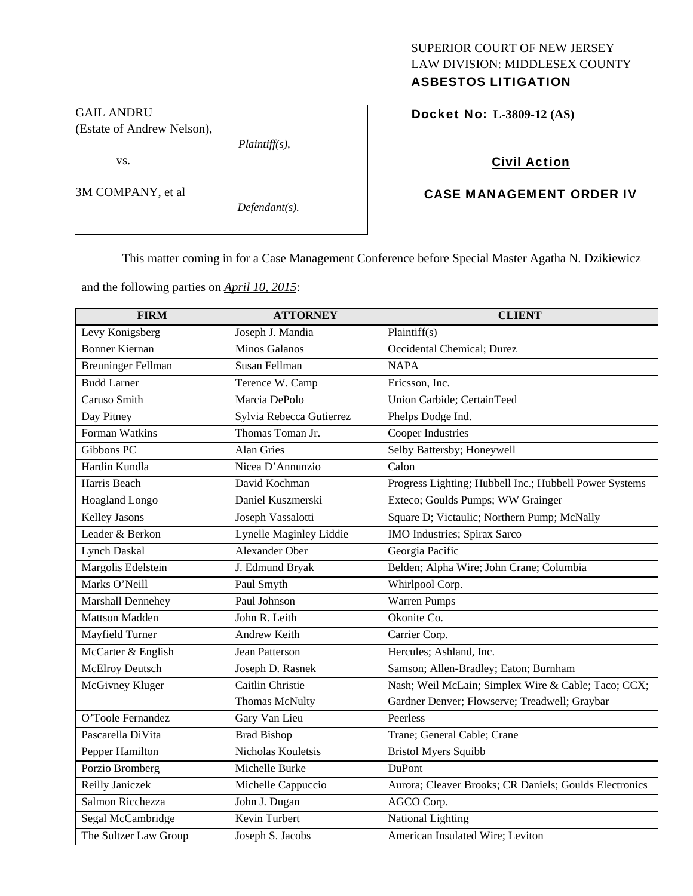# SUPERIOR COURT OF NEW JERSEY LAW DIVISION: MIDDLESEX COUNTY

# ASBESTOS LITIGATION

Docket No: **L-3809-12 (AS)** 

## Civil Action

## CASE MANAGEMENT ORDER IV

This matter coming in for a Case Management Conference before Special Master Agatha N. Dzikiewicz

and the following parties on *April 10, 2015*:

| <b>FIRM</b>               | <b>ATTORNEY</b>          | <b>CLIENT</b>                                          |
|---------------------------|--------------------------|--------------------------------------------------------|
| Levy Konigsberg           | Joseph J. Mandia         | Plaintiff(s)                                           |
| <b>Bonner Kiernan</b>     | <b>Minos Galanos</b>     | Occidental Chemical; Durez                             |
| <b>Breuninger Fellman</b> | Susan Fellman            | <b>NAPA</b>                                            |
| <b>Budd Larner</b>        | Terence W. Camp          | Ericsson, Inc.                                         |
| Caruso Smith              | Marcia DePolo            | Union Carbide; CertainTeed                             |
| Day Pitney                | Sylvia Rebecca Gutierrez | Phelps Dodge Ind.                                      |
| Forman Watkins            | Thomas Toman Jr.         | Cooper Industries                                      |
| Gibbons PC                | <b>Alan Gries</b>        | Selby Battersby; Honeywell                             |
| Hardin Kundla             | Nicea D'Annunzio         | Calon                                                  |
| Harris Beach              | David Kochman            | Progress Lighting; Hubbell Inc.; Hubbell Power Systems |
| Hoagland Longo            | Daniel Kuszmerski        | Exteco; Goulds Pumps; WW Grainger                      |
| Kelley Jasons             | Joseph Vassalotti        | Square D; Victaulic; Northern Pump; McNally            |
| Leader & Berkon           | Lynelle Maginley Liddie  | IMO Industries; Spirax Sarco                           |
| <b>Lynch Daskal</b>       | Alexander Ober           | Georgia Pacific                                        |
| Margolis Edelstein        | J. Edmund Bryak          | Belden; Alpha Wire; John Crane; Columbia               |
| Marks O'Neill             | Paul Smyth               | Whirlpool Corp.                                        |
| Marshall Dennehey         | Paul Johnson             | <b>Warren Pumps</b>                                    |
| <b>Mattson Madden</b>     | John R. Leith            | Okonite Co.                                            |
| Mayfield Turner           | Andrew Keith             | Carrier Corp.                                          |
| McCarter & English        | Jean Patterson           | Hercules; Ashland, Inc.                                |
| <b>McElroy Deutsch</b>    | Joseph D. Rasnek         | Samson; Allen-Bradley; Eaton; Burnham                  |
| McGivney Kluger           | Caitlin Christie         | Nash; Weil McLain; Simplex Wire & Cable; Taco; CCX;    |
|                           | <b>Thomas McNulty</b>    | Gardner Denver; Flowserve; Treadwell; Graybar          |
| O'Toole Fernandez         | Gary Van Lieu            | Peerless                                               |
| Pascarella DiVita         | <b>Brad Bishop</b>       | Trane; General Cable; Crane                            |
| Pepper Hamilton           | Nicholas Kouletsis       | <b>Bristol Myers Squibb</b>                            |
| Porzio Bromberg           | Michelle Burke           | DuPont                                                 |
| Reilly Janiczek           | Michelle Cappuccio       | Aurora; Cleaver Brooks; CR Daniels; Goulds Electronics |
| Salmon Ricchezza          | John J. Dugan            | AGCO Corp.                                             |
| Segal McCambridge         | Kevin Turbert            | National Lighting                                      |
| The Sultzer Law Group     | Joseph S. Jacobs         | American Insulated Wire; Leviton                       |

GAIL ANDRU (Estate of Andrew Nelson), vs.

3M COMPANY, et al

*Defendant(s).* 

*Plaintiff(s),*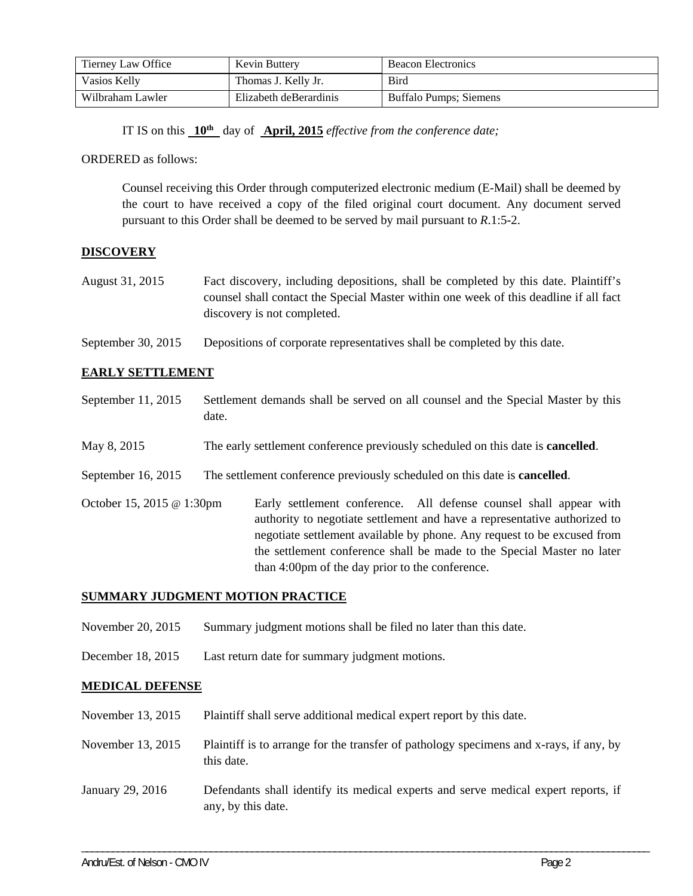| Tierney Law Office  | Kevin Buttery          | <b>Beacon Electronics</b> |
|---------------------|------------------------|---------------------------|
| <b>Vasios Kelly</b> | Thomas J. Kelly Jr.    | Bird                      |
| Wilbraham Lawler    | Elizabeth deBerardinis | Buffalo Pumps; Siemens    |

IT IS on this  $10^{th}$  day of **April, 2015** *effective from the conference date;* 

ORDERED as follows:

Counsel receiving this Order through computerized electronic medium (E-Mail) shall be deemed by the court to have received a copy of the filed original court document. Any document served pursuant to this Order shall be deemed to be served by mail pursuant to *R*.1:5-2.

#### **DISCOVERY**

August 31, 2015 Fact discovery, including depositions, shall be completed by this date. Plaintiff's counsel shall contact the Special Master within one week of this deadline if all fact discovery is not completed.

#### September 30, 2015 Depositions of corporate representatives shall be completed by this date.

#### **EARLY SETTLEMENT**

- September 11, 2015 Settlement demands shall be served on all counsel and the Special Master by this date.
- May 8, 2015 The early settlement conference previously scheduled on this date is **cancelled**.
- September 16, 2015 The settlement conference previously scheduled on this date is **cancelled**.
- October 15, 2015 @ 1:30pm Early settlement conference. All defense counsel shall appear with authority to negotiate settlement and have a representative authorized to negotiate settlement available by phone. Any request to be excused from the settlement conference shall be made to the Special Master no later than 4:00pm of the day prior to the conference.

#### **SUMMARY JUDGMENT MOTION PRACTICE**

- November 20, 2015 Summary judgment motions shall be filed no later than this date.
- December 18, 2015 Last return date for summary judgment motions.

#### **MEDICAL DEFENSE**

November 13, 2015 Plaintiff shall serve additional medical expert report by this date. November 13, 2015 Plaintiff is to arrange for the transfer of pathology specimens and x-rays, if any, by this date. January 29, 2016 Defendants shall identify its medical experts and serve medical expert reports, if any, by this date.

\_\_\_\_\_\_\_\_\_\_\_\_\_\_\_\_\_\_\_\_\_\_\_\_\_\_\_\_\_\_\_\_\_\_\_\_\_\_\_\_\_\_\_\_\_\_\_\_\_\_\_\_\_\_\_\_\_\_\_\_\_\_\_\_\_\_\_\_\_\_\_\_\_\_\_\_\_\_\_\_\_\_\_\_\_\_\_\_\_\_\_\_\_\_\_\_\_\_\_\_\_\_\_\_\_\_\_\_\_\_